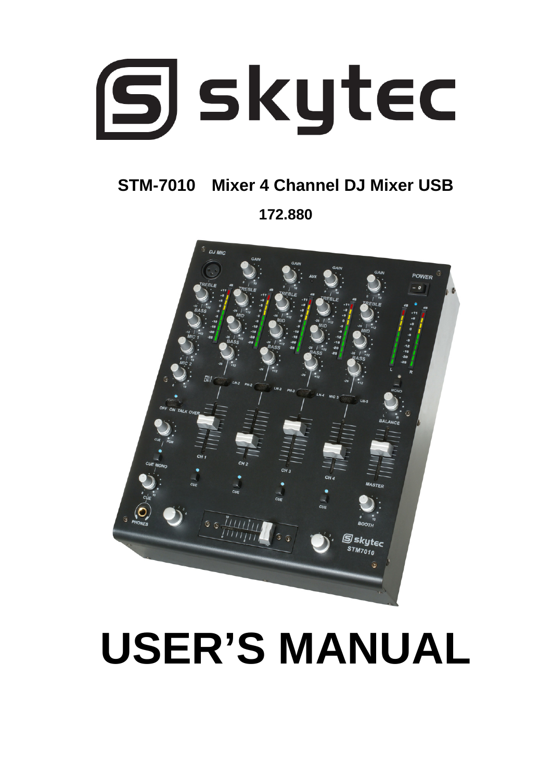

# **STM-7010 Mixer 4 Channel DJ Mixer USB**

**172.880** 



# **USER'S MANUAL**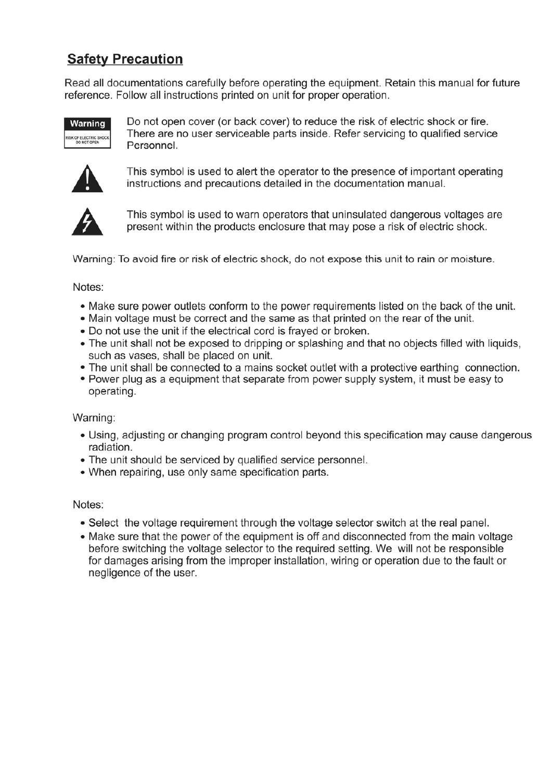## **Safety Precaution**

Read all documentations carefully before operating the equipment. Retain this manual for future reference. Follow all instructions printed on unit for proper operation.



Do not open cover (or back cover) to reduce the risk of electric shock or fire. There are no user serviceable parts inside. Refer servicing to qualified service Personnel.



This symbol is used to alert the operator to the presence of important operating instructions and precautions detailed in the documentation manual.



This symbol is used to warn operators that uninsulated dangerous voltages are present within the products enclosure that may pose a risk of electric shock.

Warning: To avoid fire or risk of electric shock, do not expose this unit to rain or moisture.

#### Notes:

- Make sure power outlets conform to the power requirements listed on the back of the unit.
- Main voltage must be correct and the same as that printed on the rear of the unit.
- Do not use the unit if the electrical cord is frayed or broken.
- The unit shall not be exposed to dripping or splashing and that no objects filled with liquids, such as vases, shall be placed on unit.
- The unit shall be connected to a mains socket outlet with a protective earthing connection.
- Power plug as a equipment that separate from power supply system, it must be easy to operating.

Warning:

- Using, adjusting or changing program control beyond this specification may cause dangerous radiation.
- The unit should be serviced by qualified service personnel.
- When repairing, use only same specification parts.

#### Notes:

- Select the voltage requirement through the voltage selector switch at the real panel.
- Make sure that the power of the equipment is off and disconnected from the main voltage before switching the voltage selector to the required setting. We will not be responsible for damages arising from the improper installation, wiring or operation due to the fault or negligence of the user.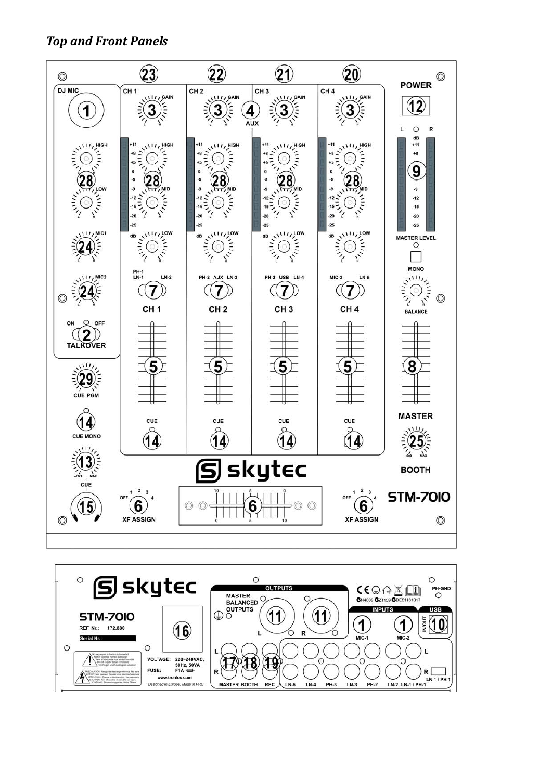## *Top and Front Panels*



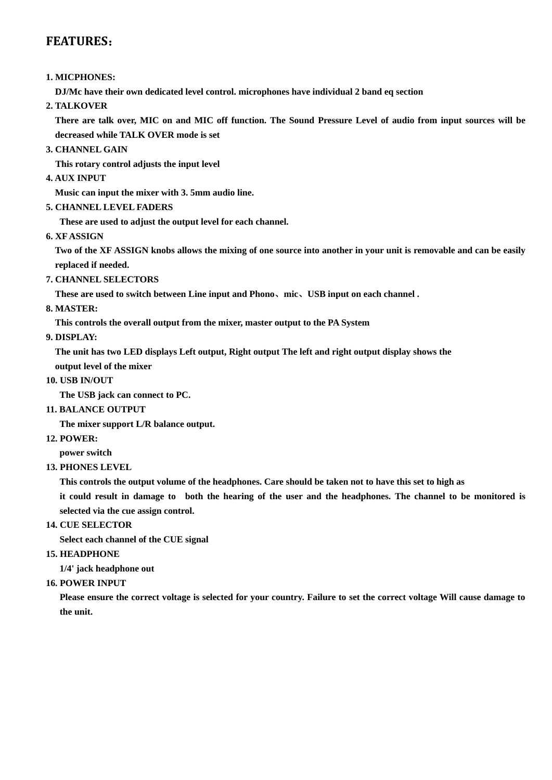### **FEATURES**:

#### **1. MICPHONES:**

**DJ/Mc have their own dedicated level control. microphones have individual 2 band eq section** 

#### **2. TALKOVER**

**There are talk over, MIC on and MIC off function. The Sound Pressure Level of audio from input sources will be decreased while TALK OVER mode is set** 

**3. CHANNEL GAIN** 

**This rotary control adjusts the input level** 

**4. AUX INPUT** 

**Music can input the mixer with 3. 5mm audio line.** 

#### **5. CHANNEL LEVEL FADERS**

**These are used to adjust the output level for each channel.** 

**6. XF ASSIGN** 

**Two of the XF ASSIGN knobs allows the mixing of one source into another in your unit is removable and can be easily replaced if needed.** 

**7. CHANNEL SELECTORS** 

**These are used to switch between Line input and Phono**、**mic**、**USB input on each channel .** 

#### **8. MASTER:**

**This controls the overall output from the mixer, master output to the PA System** 

#### **9. DISPLAY:**

**The unit has two LED displays Left output, Right output The left and right output display shows the** 

**output level of the mixer** 

**10. USB IN/OUT**

**The USB jack can connect to PC.** 

#### **11. BALANCE OUTPUT**

**The mixer support L/R balance output.** 

**12. POWER:** 

**power switch** 

**13. PHONES LEVEL** 

**This controls the output volume of the headphones. Care should be taken not to have this set to high as** 

**it could result in damage to both the hearing of the user and the headphones. The channel to be monitored is selected via the cue assign control.** 

**14. CUE SELECTOR** 

**Select each channel of the CUE signal** 

**15. HEADPHONE** 

**1/4' jack headphone out** 

**16. POWER INPUT** 

**Please ensure the correct voltage is selected for your country. Failure to set the correct voltage Will cause damage to the unit.**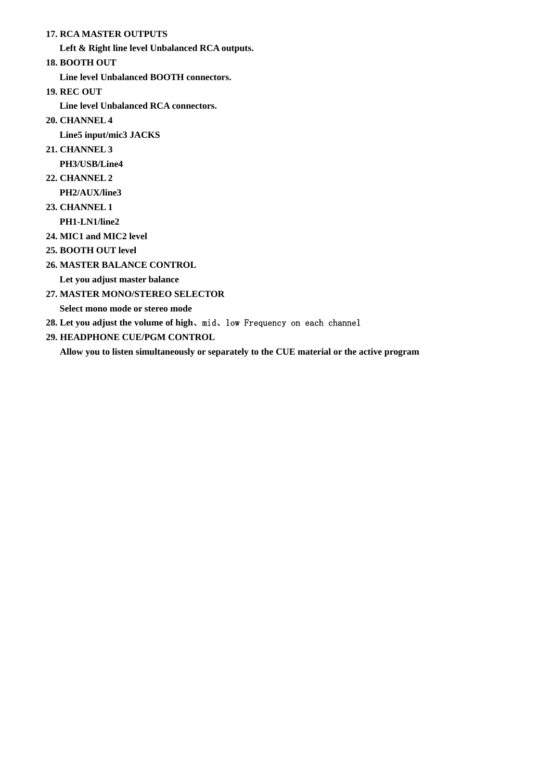**17. RCA MASTER OUTPUTS** 

**Left & Right line level Unbalanced RCA outputs.** 

**18. BOOTH OUT** 

**Line level Unbalanced BOOTH connectors.** 

**19. REC OUT** 

**Line level Unbalanced RCA connectors.** 

**20. CHANNEL 4** 

**Line5 input/mic3 JACKS** 

- **21. CHANNEL 3 PH3/USB/Line4**
- **22. CHANNEL 2**
- **PH2/AUX/line3 23. CHANNEL 1**

**PH1-LN1/line2** 

- **24. MIC1 and MIC2 level**
- **25. BOOTH OUT level**
- **26. MASTER BALANCE CONTROL**

**Let you adjust master balance**

- **27. MASTER MONO/STEREO SELECTOR Select mono mode or stereo mode**
- **28. Let you adjust the volume of high**、mid、low Frequency on each channel
- **29. HEADPHONE CUE/PGM CONTROL**

 **Allow you to listen simultaneously or separately to the CUE material or the active program**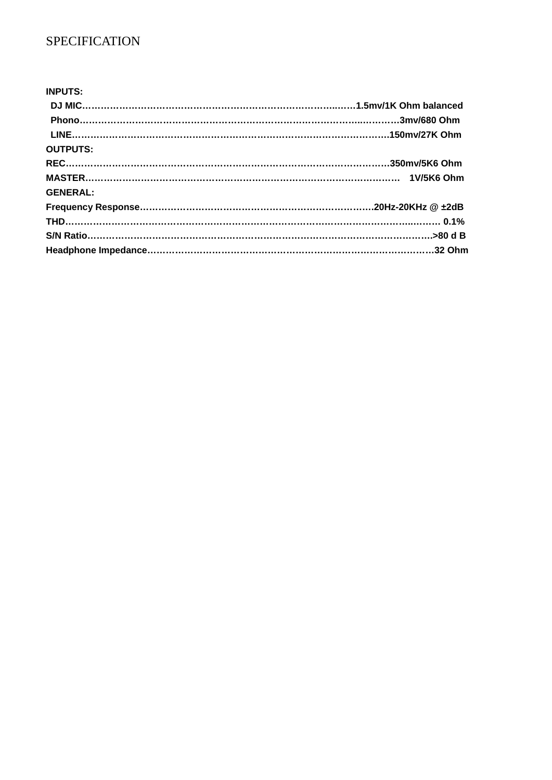## **SPECIFICATION**

| <b>INPUTS:</b>  |  |
|-----------------|--|
|                 |  |
|                 |  |
|                 |  |
| <b>OUTPUTS:</b> |  |
|                 |  |
|                 |  |
| <b>GENERAL:</b> |  |
|                 |  |
|                 |  |
|                 |  |
|                 |  |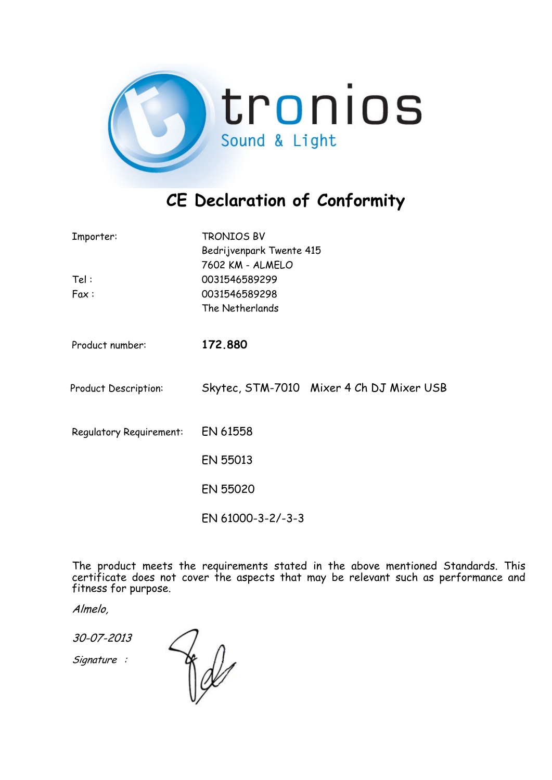

# **CE Declaration of Conformity**

| Importer:                      | <b>TRONIOS BV</b><br>Bedrijvenpark Twente 415                         |  |
|--------------------------------|-----------------------------------------------------------------------|--|
| Tel:<br>Fax:                   | 7602 KM - ALMELO<br>0031546589299<br>0031546589298<br>The Netherlands |  |
| Product number:                | 172.880                                                               |  |
| Product Description:           | Skytec, STM-7010 Mixer 4 Ch DJ Mixer USB                              |  |
| <b>Regulatory Requirement:</b> | EN 61558                                                              |  |
|                                | EN 55013                                                              |  |
|                                | EN 55020                                                              |  |
|                                | EN 61000-3-2/-3-3                                                     |  |

The product meets the requirements stated in the above mentioned Standards. This certificate does not cover the aspects that may be relevant such as performance and fitness for purpose.

Almelo,

30-07-2013

Signature :